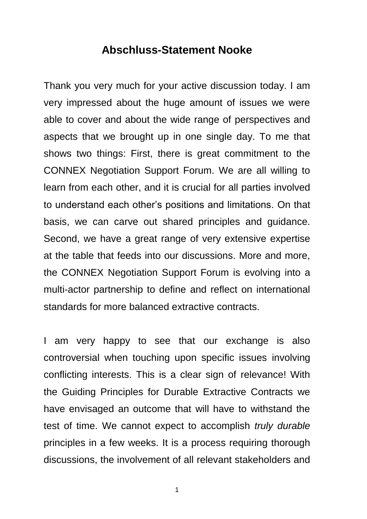## **Abschluss-Statement Nooke**

Thank you very much for your active discussion today. I am very impressed about the huge amount of issues we were able to cover and about the wide range of perspectives and aspects that we brought up in one single day. To me that shows two things: First, there is great commitment to the CONNEX Negotiation Support Forum. We are all willing to learn from each other, and it is crucial for all parties involved to understand each other's positions and limitations. On that basis, we can carve out shared principles and guidance. Second, we have a great range of very extensive expertise at the table that feeds into our discussions. More and more, the CONNEX Negotiation Support Forum is evolving into a multi-actor partnership to define and reflect on international standards for more balanced extractive contracts.

I am very happy to see that our exchange is also controversial when touching upon specific issues involving conflicting interests. This is a clear sign of relevance! With the Guiding Principles for Durable Extractive Contracts we have envisaged an outcome that will have to withstand the test of time. We cannot expect to accomplish *truly durable* principles in a few weeks. It is a process requiring thorough discussions, the involvement of all relevant stakeholders and

1